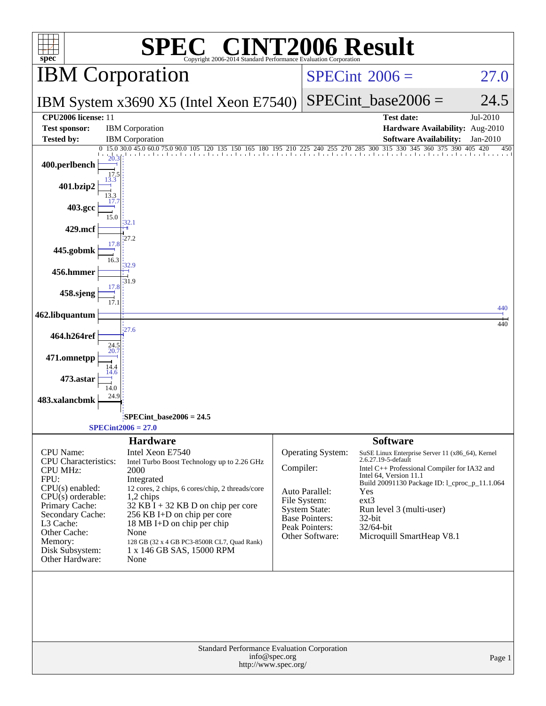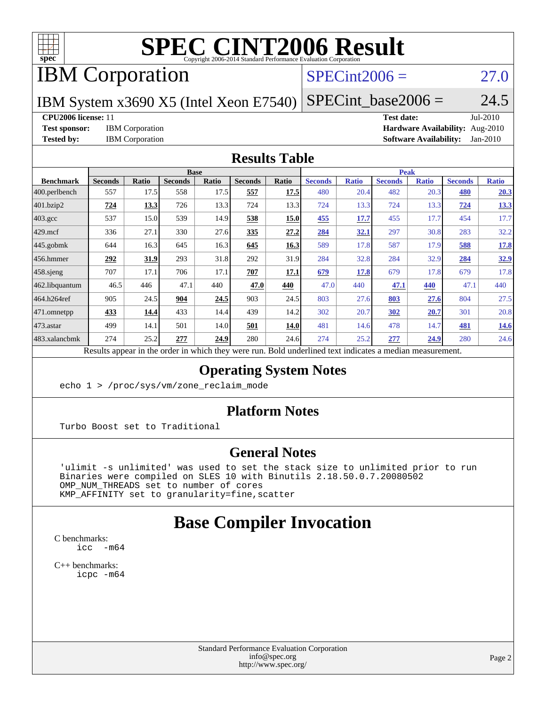

# **[SPEC CINT2006 Result](http://www.spec.org/auto/cpu2006/Docs/result-fields.html#SPECCINT2006Result)**

# IBM Corporation

# $SPECint2006 = 27.0$  $SPECint2006 = 27.0$

IBM System x3690 X5 (Intel Xeon E7540)  $SPECTnt\_base2006 = 24.5$ 

**[CPU2006 license:](http://www.spec.org/auto/cpu2006/Docs/result-fields.html#CPU2006license)** 11 **[Test date:](http://www.spec.org/auto/cpu2006/Docs/result-fields.html#Testdate)** Jul-2010 **[Test sponsor:](http://www.spec.org/auto/cpu2006/Docs/result-fields.html#Testsponsor)** IBM Corporation **[Hardware Availability:](http://www.spec.org/auto/cpu2006/Docs/result-fields.html#HardwareAvailability)** Aug-2010 **[Tested by:](http://www.spec.org/auto/cpu2006/Docs/result-fields.html#Testedby)** IBM Corporation **[Software Availability:](http://www.spec.org/auto/cpu2006/Docs/result-fields.html#SoftwareAvailability)** Jan-2010

#### **[Results Table](http://www.spec.org/auto/cpu2006/Docs/result-fields.html#ResultsTable)**

| <b>Seconds</b> |              | <b>Base</b>    |       |                |       |                |                                | <b>Peak</b>           |              |                |              |  |  |
|----------------|--------------|----------------|-------|----------------|-------|----------------|--------------------------------|-----------------------|--------------|----------------|--------------|--|--|
|                | <b>Ratio</b> | <b>Seconds</b> | Ratio | <b>Seconds</b> | Ratio | <b>Seconds</b> | <b>Ratio</b>                   | <b>Seconds</b>        | <b>Ratio</b> | <b>Seconds</b> | <b>Ratio</b> |  |  |
| 557            | 17.5         | 558            | 17.5  | 557            | 17.5  | 480            | 20.4                           | 482                   | 20.3         | 480            | 20.3         |  |  |
| 724            | 13.3         | 726            | 13.3  | 724            | 13.3  | 724            | 13.3                           | 724                   | 13.3         | 724            | 13.3         |  |  |
| 537            | 15.0         | 539            | 14.9  | 538            | 15.0  | 455            | 17.7                           | 455                   | 17.7         | 454            | 17.7         |  |  |
| 336            | 27.1         | 330            | 27.6  | 335            | 27.2  | 284            | <u>32.1</u>                    | 297                   | 30.8         | 283            | 32.2         |  |  |
| 644            | 16.3         | 645            | 16.3  | 645            | 16.3  | 589            | 17.8                           | 587                   | 17.9         | 588            | 17.8         |  |  |
| 292            | <u>31.9</u>  | 293            | 31.8  | 292            | 31.9  | 284            | 32.8                           | 284                   | 32.9         | 284            | 32.9         |  |  |
| 707            | 17.1         | 706            | 17.1  | 707            | 17.1  | 679            | 17.8                           | 679                   | 17.8         | 679            | 17.8         |  |  |
| 46.5           | 446          | 47.1           | 440   | 47.0           | 440   | 47.0           | 440                            | 47.1                  | 440          | 47.1           | 440          |  |  |
| 905            | 24.5         | 904            | 24.5  | 903            | 24.5  | 803            | 27.6                           | 803                   | 27.6         | 804            | 27.5         |  |  |
| 433            | 14.4         | 433            | 14.4  | 439            | 14.2  | 302            | 20.7                           | 302                   | 20.7         | 301            | 20.8         |  |  |
| 499            | 14.1         | 501            | 14.0  | 501            | 14.0  | 481            | 14.6                           | 478                   | 14.7         | 481            | <b>14.6</b>  |  |  |
| 274            | 25.2         | 277            | 24.9  | 280            | 24.6  | 274            | 25.2                           | 277                   | <u>24.9</u>  | 280            | 24.6         |  |  |
|                | $\mathbf{1}$ | $\cdot$ . 1    |       |                |       |                | 1.1.1<br>$1 \quad 1$<br>$n$ 11 | 1.1.1<br>$\mathbf{1}$ |              |                |              |  |  |

Results appear in the [order in which they were run.](http://www.spec.org/auto/cpu2006/Docs/result-fields.html#RunOrder) Bold underlined text [indicates a median measurement.](http://www.spec.org/auto/cpu2006/Docs/result-fields.html#Median)

#### **[Operating System Notes](http://www.spec.org/auto/cpu2006/Docs/result-fields.html#OperatingSystemNotes)**

echo 1 > /proc/sys/vm/zone\_reclaim\_mode

#### **[Platform Notes](http://www.spec.org/auto/cpu2006/Docs/result-fields.html#PlatformNotes)**

Turbo Boost set to Traditional

#### **[General Notes](http://www.spec.org/auto/cpu2006/Docs/result-fields.html#GeneralNotes)**

 'ulimit -s unlimited' was used to set the stack size to unlimited prior to run Binaries were compiled on SLES 10 with Binutils 2.18.50.0.7.20080502 OMP\_NUM\_THREADS set to number of cores KMP\_AFFINITY set to granularity=fine,scatter

# **[Base Compiler Invocation](http://www.spec.org/auto/cpu2006/Docs/result-fields.html#BaseCompilerInvocation)**

[C benchmarks](http://www.spec.org/auto/cpu2006/Docs/result-fields.html#Cbenchmarks): [icc -m64](http://www.spec.org/cpu2006/results/res2010q3/cpu2006-20100817-12984.flags.html#user_CCbase_intel_icc_64bit_f346026e86af2a669e726fe758c88044)

[C++ benchmarks:](http://www.spec.org/auto/cpu2006/Docs/result-fields.html#CXXbenchmarks) [icpc -m64](http://www.spec.org/cpu2006/results/res2010q3/cpu2006-20100817-12984.flags.html#user_CXXbase_intel_icpc_64bit_fc66a5337ce925472a5c54ad6a0de310)

> Standard Performance Evaluation Corporation [info@spec.org](mailto:info@spec.org) <http://www.spec.org/>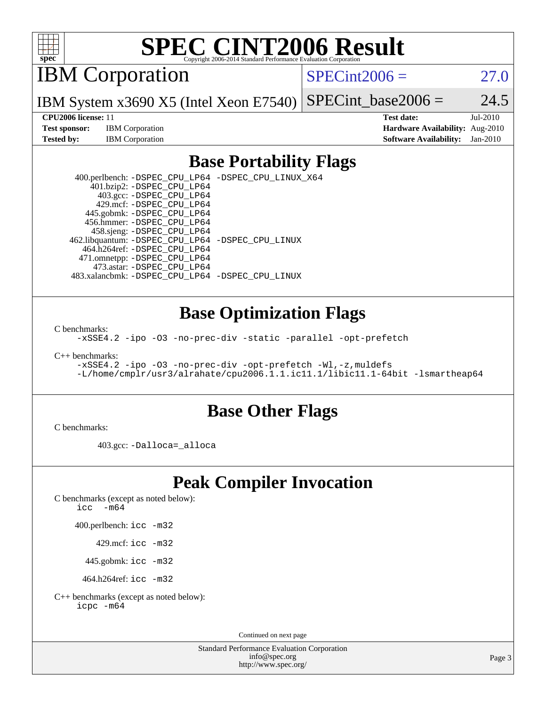

# **[SPEC CINT2006 Result](http://www.spec.org/auto/cpu2006/Docs/result-fields.html#SPECCINT2006Result)**

IBM Corporation

 $SPECint2006 = 27.0$  $SPECint2006 = 27.0$ 

IBM System x3690 X5 (Intel Xeon E7540) SPECint base2006 =  $24.5$ 

**[Test sponsor:](http://www.spec.org/auto/cpu2006/Docs/result-fields.html#Testsponsor)** IBM Corporation **[Hardware Availability:](http://www.spec.org/auto/cpu2006/Docs/result-fields.html#HardwareAvailability)** Aug-2010

**[CPU2006 license:](http://www.spec.org/auto/cpu2006/Docs/result-fields.html#CPU2006license)** 11 **[Test date:](http://www.spec.org/auto/cpu2006/Docs/result-fields.html#Testdate)** Jul-2010 **[Tested by:](http://www.spec.org/auto/cpu2006/Docs/result-fields.html#Testedby)** IBM Corporation **[Software Availability:](http://www.spec.org/auto/cpu2006/Docs/result-fields.html#SoftwareAvailability)** Jan-2010

## **[Base Portability Flags](http://www.spec.org/auto/cpu2006/Docs/result-fields.html#BasePortabilityFlags)**

 400.perlbench: [-DSPEC\\_CPU\\_LP64](http://www.spec.org/cpu2006/results/res2010q3/cpu2006-20100817-12984.flags.html#b400.perlbench_basePORTABILITY_DSPEC_CPU_LP64) [-DSPEC\\_CPU\\_LINUX\\_X64](http://www.spec.org/cpu2006/results/res2010q3/cpu2006-20100817-12984.flags.html#b400.perlbench_baseCPORTABILITY_DSPEC_CPU_LINUX_X64) 401.bzip2: [-DSPEC\\_CPU\\_LP64](http://www.spec.org/cpu2006/results/res2010q3/cpu2006-20100817-12984.flags.html#suite_basePORTABILITY401_bzip2_DSPEC_CPU_LP64) 403.gcc: [-DSPEC\\_CPU\\_LP64](http://www.spec.org/cpu2006/results/res2010q3/cpu2006-20100817-12984.flags.html#suite_basePORTABILITY403_gcc_DSPEC_CPU_LP64) 429.mcf: [-DSPEC\\_CPU\\_LP64](http://www.spec.org/cpu2006/results/res2010q3/cpu2006-20100817-12984.flags.html#suite_basePORTABILITY429_mcf_DSPEC_CPU_LP64) 445.gobmk: [-DSPEC\\_CPU\\_LP64](http://www.spec.org/cpu2006/results/res2010q3/cpu2006-20100817-12984.flags.html#suite_basePORTABILITY445_gobmk_DSPEC_CPU_LP64) 456.hmmer: [-DSPEC\\_CPU\\_LP64](http://www.spec.org/cpu2006/results/res2010q3/cpu2006-20100817-12984.flags.html#suite_basePORTABILITY456_hmmer_DSPEC_CPU_LP64) 458.sjeng: [-DSPEC\\_CPU\\_LP64](http://www.spec.org/cpu2006/results/res2010q3/cpu2006-20100817-12984.flags.html#suite_basePORTABILITY458_sjeng_DSPEC_CPU_LP64) 462.libquantum: [-DSPEC\\_CPU\\_LP64](http://www.spec.org/cpu2006/results/res2010q3/cpu2006-20100817-12984.flags.html#suite_basePORTABILITY462_libquantum_DSPEC_CPU_LP64) [-DSPEC\\_CPU\\_LINUX](http://www.spec.org/cpu2006/results/res2010q3/cpu2006-20100817-12984.flags.html#b462.libquantum_baseCPORTABILITY_DSPEC_CPU_LINUX) 464.h264ref: [-DSPEC\\_CPU\\_LP64](http://www.spec.org/cpu2006/results/res2010q3/cpu2006-20100817-12984.flags.html#suite_basePORTABILITY464_h264ref_DSPEC_CPU_LP64) 471.omnetpp: [-DSPEC\\_CPU\\_LP64](http://www.spec.org/cpu2006/results/res2010q3/cpu2006-20100817-12984.flags.html#suite_basePORTABILITY471_omnetpp_DSPEC_CPU_LP64) 473.astar: [-DSPEC\\_CPU\\_LP64](http://www.spec.org/cpu2006/results/res2010q3/cpu2006-20100817-12984.flags.html#suite_basePORTABILITY473_astar_DSPEC_CPU_LP64) 483.xalancbmk: [-DSPEC\\_CPU\\_LP64](http://www.spec.org/cpu2006/results/res2010q3/cpu2006-20100817-12984.flags.html#suite_basePORTABILITY483_xalancbmk_DSPEC_CPU_LP64) [-DSPEC\\_CPU\\_LINUX](http://www.spec.org/cpu2006/results/res2010q3/cpu2006-20100817-12984.flags.html#b483.xalancbmk_baseCXXPORTABILITY_DSPEC_CPU_LINUX)

### **[Base Optimization Flags](http://www.spec.org/auto/cpu2006/Docs/result-fields.html#BaseOptimizationFlags)**

[C benchmarks](http://www.spec.org/auto/cpu2006/Docs/result-fields.html#Cbenchmarks):

[-xSSE4.2](http://www.spec.org/cpu2006/results/res2010q3/cpu2006-20100817-12984.flags.html#user_CCbase_f-xSSE42_f91528193cf0b216347adb8b939d4107) [-ipo](http://www.spec.org/cpu2006/results/res2010q3/cpu2006-20100817-12984.flags.html#user_CCbase_f-ipo) [-O3](http://www.spec.org/cpu2006/results/res2010q3/cpu2006-20100817-12984.flags.html#user_CCbase_f-O3) [-no-prec-div](http://www.spec.org/cpu2006/results/res2010q3/cpu2006-20100817-12984.flags.html#user_CCbase_f-no-prec-div) [-static](http://www.spec.org/cpu2006/results/res2010q3/cpu2006-20100817-12984.flags.html#user_CCbase_f-static) [-parallel](http://www.spec.org/cpu2006/results/res2010q3/cpu2006-20100817-12984.flags.html#user_CCbase_f-parallel) [-opt-prefetch](http://www.spec.org/cpu2006/results/res2010q3/cpu2006-20100817-12984.flags.html#user_CCbase_f-opt-prefetch)

[C++ benchmarks:](http://www.spec.org/auto/cpu2006/Docs/result-fields.html#CXXbenchmarks)

```
-xSSE4.2 -ipo -O3 -no-prec-div -opt-prefetch -Wl,-z,muldefs
-L/home/cmplr/usr3/alrahate/cpu2006.1.1.ic11.1/libic11.1-64bit -lsmartheap64
```
### **[Base Other Flags](http://www.spec.org/auto/cpu2006/Docs/result-fields.html#BaseOtherFlags)**

[C benchmarks](http://www.spec.org/auto/cpu2006/Docs/result-fields.html#Cbenchmarks):

403.gcc: [-Dalloca=\\_alloca](http://www.spec.org/cpu2006/results/res2010q3/cpu2006-20100817-12984.flags.html#b403.gcc_baseEXTRA_CFLAGS_Dalloca_be3056838c12de2578596ca5467af7f3)

# **[Peak Compiler Invocation](http://www.spec.org/auto/cpu2006/Docs/result-fields.html#PeakCompilerInvocation)**

[C benchmarks \(except as noted below\)](http://www.spec.org/auto/cpu2006/Docs/result-fields.html#Cbenchmarksexceptasnotedbelow):

icc  $-m64$ 

400.perlbench: [icc -m32](http://www.spec.org/cpu2006/results/res2010q3/cpu2006-20100817-12984.flags.html#user_peakCCLD400_perlbench_intel_icc_32bit_a6a621f8d50482236b970c6ac5f55f93)

429.mcf: [icc -m32](http://www.spec.org/cpu2006/results/res2010q3/cpu2006-20100817-12984.flags.html#user_peakCCLD429_mcf_intel_icc_32bit_a6a621f8d50482236b970c6ac5f55f93)

445.gobmk: [icc -m32](http://www.spec.org/cpu2006/results/res2010q3/cpu2006-20100817-12984.flags.html#user_peakCCLD445_gobmk_intel_icc_32bit_a6a621f8d50482236b970c6ac5f55f93)

464.h264ref: [icc -m32](http://www.spec.org/cpu2006/results/res2010q3/cpu2006-20100817-12984.flags.html#user_peakCCLD464_h264ref_intel_icc_32bit_a6a621f8d50482236b970c6ac5f55f93)

[C++ benchmarks \(except as noted below\):](http://www.spec.org/auto/cpu2006/Docs/result-fields.html#CXXbenchmarksexceptasnotedbelow) [icpc -m64](http://www.spec.org/cpu2006/results/res2010q3/cpu2006-20100817-12984.flags.html#user_CXXpeak_intel_icpc_64bit_fc66a5337ce925472a5c54ad6a0de310)

Continued on next page

Standard Performance Evaluation Corporation [info@spec.org](mailto:info@spec.org) <http://www.spec.org/>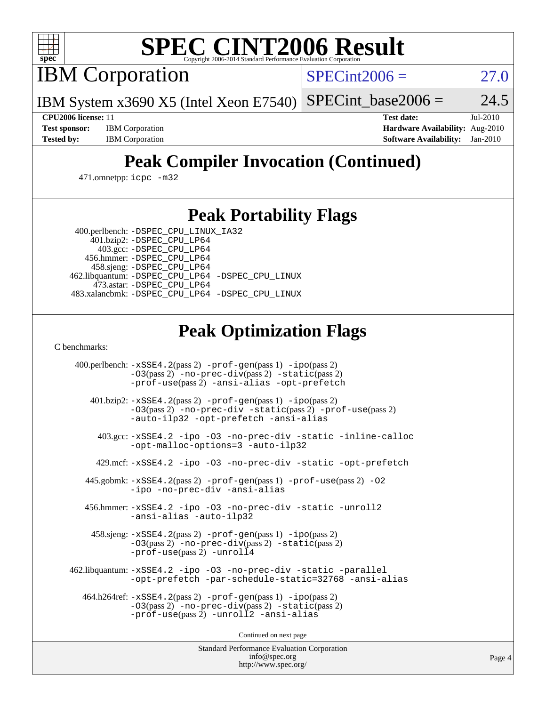

# **[SPEC CINT2006 Result](http://www.spec.org/auto/cpu2006/Docs/result-fields.html#SPECCINT2006Result)**

IBM Corporation

 $SPECint2006 = 27.0$  $SPECint2006 = 27.0$ 

IBM System x3690 X5 (Intel Xeon E7540)  $SPECTnt\_base2006 = 24.5$ 

**[CPU2006 license:](http://www.spec.org/auto/cpu2006/Docs/result-fields.html#CPU2006license)** 11 **[Test date:](http://www.spec.org/auto/cpu2006/Docs/result-fields.html#Testdate)** Jul-2010 **[Test sponsor:](http://www.spec.org/auto/cpu2006/Docs/result-fields.html#Testsponsor)** IBM Corporation **[Hardware Availability:](http://www.spec.org/auto/cpu2006/Docs/result-fields.html#HardwareAvailability)** Aug-2010 **[Tested by:](http://www.spec.org/auto/cpu2006/Docs/result-fields.html#Testedby)** IBM Corporation **[Software Availability:](http://www.spec.org/auto/cpu2006/Docs/result-fields.html#SoftwareAvailability)** Jan-2010

# **[Peak Compiler Invocation \(Continued\)](http://www.spec.org/auto/cpu2006/Docs/result-fields.html#PeakCompilerInvocation)**

471.omnetpp: [icpc -m32](http://www.spec.org/cpu2006/results/res2010q3/cpu2006-20100817-12984.flags.html#user_peakCXXLD471_omnetpp_intel_icpc_32bit_4e5a5ef1a53fd332b3c49e69c3330699)

## **[Peak Portability Flags](http://www.spec.org/auto/cpu2006/Docs/result-fields.html#PeakPortabilityFlags)**

 400.perlbench: [-DSPEC\\_CPU\\_LINUX\\_IA32](http://www.spec.org/cpu2006/results/res2010q3/cpu2006-20100817-12984.flags.html#b400.perlbench_peakCPORTABILITY_DSPEC_CPU_LINUX_IA32) 401.bzip2: [-DSPEC\\_CPU\\_LP64](http://www.spec.org/cpu2006/results/res2010q3/cpu2006-20100817-12984.flags.html#suite_peakPORTABILITY401_bzip2_DSPEC_CPU_LP64)

 403.gcc: [-DSPEC\\_CPU\\_LP64](http://www.spec.org/cpu2006/results/res2010q3/cpu2006-20100817-12984.flags.html#suite_peakPORTABILITY403_gcc_DSPEC_CPU_LP64) 456.hmmer: [-DSPEC\\_CPU\\_LP64](http://www.spec.org/cpu2006/results/res2010q3/cpu2006-20100817-12984.flags.html#suite_peakPORTABILITY456_hmmer_DSPEC_CPU_LP64) 458.sjeng: [-DSPEC\\_CPU\\_LP64](http://www.spec.org/cpu2006/results/res2010q3/cpu2006-20100817-12984.flags.html#suite_peakPORTABILITY458_sjeng_DSPEC_CPU_LP64) 462.libquantum: [-DSPEC\\_CPU\\_LP64](http://www.spec.org/cpu2006/results/res2010q3/cpu2006-20100817-12984.flags.html#suite_peakPORTABILITY462_libquantum_DSPEC_CPU_LP64) [-DSPEC\\_CPU\\_LINUX](http://www.spec.org/cpu2006/results/res2010q3/cpu2006-20100817-12984.flags.html#b462.libquantum_peakCPORTABILITY_DSPEC_CPU_LINUX) 473.astar: [-DSPEC\\_CPU\\_LP64](http://www.spec.org/cpu2006/results/res2010q3/cpu2006-20100817-12984.flags.html#suite_peakPORTABILITY473_astar_DSPEC_CPU_LP64) 483.xalancbmk: [-DSPEC\\_CPU\\_LP64](http://www.spec.org/cpu2006/results/res2010q3/cpu2006-20100817-12984.flags.html#suite_peakPORTABILITY483_xalancbmk_DSPEC_CPU_LP64) [-DSPEC\\_CPU\\_LINUX](http://www.spec.org/cpu2006/results/res2010q3/cpu2006-20100817-12984.flags.html#b483.xalancbmk_peakCXXPORTABILITY_DSPEC_CPU_LINUX)

# **[Peak Optimization Flags](http://www.spec.org/auto/cpu2006/Docs/result-fields.html#PeakOptimizationFlags)**

[C benchmarks](http://www.spec.org/auto/cpu2006/Docs/result-fields.html#Cbenchmarks):

 400.perlbench: [-xSSE4.2](http://www.spec.org/cpu2006/results/res2010q3/cpu2006-20100817-12984.flags.html#user_peakPASS2_CFLAGSPASS2_LDCFLAGS400_perlbench_f-xSSE42_f91528193cf0b216347adb8b939d4107)(pass 2) [-prof-gen](http://www.spec.org/cpu2006/results/res2010q3/cpu2006-20100817-12984.flags.html#user_peakPASS1_CFLAGSPASS1_LDCFLAGS400_perlbench_prof_gen_e43856698f6ca7b7e442dfd80e94a8fc)(pass 1) [-ipo](http://www.spec.org/cpu2006/results/res2010q3/cpu2006-20100817-12984.flags.html#user_peakPASS2_CFLAGSPASS2_LDCFLAGS400_perlbench_f-ipo)(pass 2) [-O3](http://www.spec.org/cpu2006/results/res2010q3/cpu2006-20100817-12984.flags.html#user_peakPASS2_CFLAGSPASS2_LDCFLAGS400_perlbench_f-O3)(pass 2) [-no-prec-div](http://www.spec.org/cpu2006/results/res2010q3/cpu2006-20100817-12984.flags.html#user_peakPASS2_CFLAGSPASS2_LDCFLAGS400_perlbench_f-no-prec-div)(pass 2) [-static](http://www.spec.org/cpu2006/results/res2010q3/cpu2006-20100817-12984.flags.html#user_peakPASS2_CFLAGSPASS2_LDCFLAGS400_perlbench_f-static)(pass 2) [-prof-use](http://www.spec.org/cpu2006/results/res2010q3/cpu2006-20100817-12984.flags.html#user_peakPASS2_CFLAGSPASS2_LDCFLAGS400_perlbench_prof_use_bccf7792157ff70d64e32fe3e1250b55)(pass 2) [-ansi-alias](http://www.spec.org/cpu2006/results/res2010q3/cpu2006-20100817-12984.flags.html#user_peakCOPTIMIZE400_perlbench_f-ansi-alias) [-opt-prefetch](http://www.spec.org/cpu2006/results/res2010q3/cpu2006-20100817-12984.flags.html#user_peakCOPTIMIZE400_perlbench_f-opt-prefetch) 401.bzip2: [-xSSE4.2](http://www.spec.org/cpu2006/results/res2010q3/cpu2006-20100817-12984.flags.html#user_peakPASS2_CFLAGSPASS2_LDCFLAGS401_bzip2_f-xSSE42_f91528193cf0b216347adb8b939d4107)(pass 2) [-prof-gen](http://www.spec.org/cpu2006/results/res2010q3/cpu2006-20100817-12984.flags.html#user_peakPASS1_CFLAGSPASS1_LDCFLAGS401_bzip2_prof_gen_e43856698f6ca7b7e442dfd80e94a8fc)(pass 1) [-ipo](http://www.spec.org/cpu2006/results/res2010q3/cpu2006-20100817-12984.flags.html#user_peakPASS2_CFLAGSPASS2_LDCFLAGS401_bzip2_f-ipo)(pass 2) [-O3](http://www.spec.org/cpu2006/results/res2010q3/cpu2006-20100817-12984.flags.html#user_peakPASS2_CFLAGSPASS2_LDCFLAGS401_bzip2_f-O3)(pass 2) [-no-prec-div](http://www.spec.org/cpu2006/results/res2010q3/cpu2006-20100817-12984.flags.html#user_peakCOPTIMIZEPASS2_CFLAGSPASS2_LDCFLAGS401_bzip2_f-no-prec-div) [-static](http://www.spec.org/cpu2006/results/res2010q3/cpu2006-20100817-12984.flags.html#user_peakPASS2_CFLAGSPASS2_LDCFLAGS401_bzip2_f-static)(pass 2) [-prof-use](http://www.spec.org/cpu2006/results/res2010q3/cpu2006-20100817-12984.flags.html#user_peakPASS2_CFLAGSPASS2_LDCFLAGS401_bzip2_prof_use_bccf7792157ff70d64e32fe3e1250b55)(pass 2) [-auto-ilp32](http://www.spec.org/cpu2006/results/res2010q3/cpu2006-20100817-12984.flags.html#user_peakCOPTIMIZE401_bzip2_f-auto-ilp32) [-opt-prefetch](http://www.spec.org/cpu2006/results/res2010q3/cpu2006-20100817-12984.flags.html#user_peakCOPTIMIZE401_bzip2_f-opt-prefetch) [-ansi-alias](http://www.spec.org/cpu2006/results/res2010q3/cpu2006-20100817-12984.flags.html#user_peakCOPTIMIZE401_bzip2_f-ansi-alias) 403.gcc: [-xSSE4.2](http://www.spec.org/cpu2006/results/res2010q3/cpu2006-20100817-12984.flags.html#user_peakCOPTIMIZE403_gcc_f-xSSE42_f91528193cf0b216347adb8b939d4107) [-ipo](http://www.spec.org/cpu2006/results/res2010q3/cpu2006-20100817-12984.flags.html#user_peakCOPTIMIZE403_gcc_f-ipo) [-O3](http://www.spec.org/cpu2006/results/res2010q3/cpu2006-20100817-12984.flags.html#user_peakCOPTIMIZE403_gcc_f-O3) [-no-prec-div](http://www.spec.org/cpu2006/results/res2010q3/cpu2006-20100817-12984.flags.html#user_peakCOPTIMIZE403_gcc_f-no-prec-div) [-static](http://www.spec.org/cpu2006/results/res2010q3/cpu2006-20100817-12984.flags.html#user_peakCOPTIMIZE403_gcc_f-static) [-inline-calloc](http://www.spec.org/cpu2006/results/res2010q3/cpu2006-20100817-12984.flags.html#user_peakCOPTIMIZE403_gcc_f-inline-calloc) [-opt-malloc-options=3](http://www.spec.org/cpu2006/results/res2010q3/cpu2006-20100817-12984.flags.html#user_peakCOPTIMIZE403_gcc_f-opt-malloc-options_13ab9b803cf986b4ee62f0a5998c2238) [-auto-ilp32](http://www.spec.org/cpu2006/results/res2010q3/cpu2006-20100817-12984.flags.html#user_peakCOPTIMIZE403_gcc_f-auto-ilp32) 429.mcf: [-xSSE4.2](http://www.spec.org/cpu2006/results/res2010q3/cpu2006-20100817-12984.flags.html#user_peakCOPTIMIZE429_mcf_f-xSSE42_f91528193cf0b216347adb8b939d4107) [-ipo](http://www.spec.org/cpu2006/results/res2010q3/cpu2006-20100817-12984.flags.html#user_peakCOPTIMIZE429_mcf_f-ipo) [-O3](http://www.spec.org/cpu2006/results/res2010q3/cpu2006-20100817-12984.flags.html#user_peakCOPTIMIZE429_mcf_f-O3) [-no-prec-div](http://www.spec.org/cpu2006/results/res2010q3/cpu2006-20100817-12984.flags.html#user_peakCOPTIMIZE429_mcf_f-no-prec-div) [-static](http://www.spec.org/cpu2006/results/res2010q3/cpu2006-20100817-12984.flags.html#user_peakCOPTIMIZE429_mcf_f-static) [-opt-prefetch](http://www.spec.org/cpu2006/results/res2010q3/cpu2006-20100817-12984.flags.html#user_peakCOPTIMIZE429_mcf_f-opt-prefetch) 445.gobmk: [-xSSE4.2](http://www.spec.org/cpu2006/results/res2010q3/cpu2006-20100817-12984.flags.html#user_peakPASS2_CFLAGSPASS2_LDCFLAGS445_gobmk_f-xSSE42_f91528193cf0b216347adb8b939d4107)(pass 2) [-prof-gen](http://www.spec.org/cpu2006/results/res2010q3/cpu2006-20100817-12984.flags.html#user_peakPASS1_CFLAGSPASS1_LDCFLAGS445_gobmk_prof_gen_e43856698f6ca7b7e442dfd80e94a8fc)(pass 1) [-prof-use](http://www.spec.org/cpu2006/results/res2010q3/cpu2006-20100817-12984.flags.html#user_peakPASS2_CFLAGSPASS2_LDCFLAGS445_gobmk_prof_use_bccf7792157ff70d64e32fe3e1250b55)(pass 2) [-O2](http://www.spec.org/cpu2006/results/res2010q3/cpu2006-20100817-12984.flags.html#user_peakCOPTIMIZE445_gobmk_f-O2) [-ipo](http://www.spec.org/cpu2006/results/res2010q3/cpu2006-20100817-12984.flags.html#user_peakCOPTIMIZE445_gobmk_f-ipo) [-no-prec-div](http://www.spec.org/cpu2006/results/res2010q3/cpu2006-20100817-12984.flags.html#user_peakCOPTIMIZE445_gobmk_f-no-prec-div) [-ansi-alias](http://www.spec.org/cpu2006/results/res2010q3/cpu2006-20100817-12984.flags.html#user_peakCOPTIMIZE445_gobmk_f-ansi-alias) 456.hmmer: [-xSSE4.2](http://www.spec.org/cpu2006/results/res2010q3/cpu2006-20100817-12984.flags.html#user_peakCOPTIMIZE456_hmmer_f-xSSE42_f91528193cf0b216347adb8b939d4107) [-ipo](http://www.spec.org/cpu2006/results/res2010q3/cpu2006-20100817-12984.flags.html#user_peakCOPTIMIZE456_hmmer_f-ipo) [-O3](http://www.spec.org/cpu2006/results/res2010q3/cpu2006-20100817-12984.flags.html#user_peakCOPTIMIZE456_hmmer_f-O3) [-no-prec-div](http://www.spec.org/cpu2006/results/res2010q3/cpu2006-20100817-12984.flags.html#user_peakCOPTIMIZE456_hmmer_f-no-prec-div) [-static](http://www.spec.org/cpu2006/results/res2010q3/cpu2006-20100817-12984.flags.html#user_peakCOPTIMIZE456_hmmer_f-static) [-unroll2](http://www.spec.org/cpu2006/results/res2010q3/cpu2006-20100817-12984.flags.html#user_peakCOPTIMIZE456_hmmer_f-unroll_784dae83bebfb236979b41d2422d7ec2) [-ansi-alias](http://www.spec.org/cpu2006/results/res2010q3/cpu2006-20100817-12984.flags.html#user_peakCOPTIMIZE456_hmmer_f-ansi-alias) [-auto-ilp32](http://www.spec.org/cpu2006/results/res2010q3/cpu2006-20100817-12984.flags.html#user_peakCOPTIMIZE456_hmmer_f-auto-ilp32) 458.sjeng: [-xSSE4.2](http://www.spec.org/cpu2006/results/res2010q3/cpu2006-20100817-12984.flags.html#user_peakPASS2_CFLAGSPASS2_LDCFLAGS458_sjeng_f-xSSE42_f91528193cf0b216347adb8b939d4107)(pass 2) [-prof-gen](http://www.spec.org/cpu2006/results/res2010q3/cpu2006-20100817-12984.flags.html#user_peakPASS1_CFLAGSPASS1_LDCFLAGS458_sjeng_prof_gen_e43856698f6ca7b7e442dfd80e94a8fc)(pass 1) [-ipo](http://www.spec.org/cpu2006/results/res2010q3/cpu2006-20100817-12984.flags.html#user_peakPASS2_CFLAGSPASS2_LDCFLAGS458_sjeng_f-ipo)(pass 2) [-O3](http://www.spec.org/cpu2006/results/res2010q3/cpu2006-20100817-12984.flags.html#user_peakPASS2_CFLAGSPASS2_LDCFLAGS458_sjeng_f-O3)(pass 2) [-no-prec-div](http://www.spec.org/cpu2006/results/res2010q3/cpu2006-20100817-12984.flags.html#user_peakPASS2_CFLAGSPASS2_LDCFLAGS458_sjeng_f-no-prec-div)(pass 2) [-static](http://www.spec.org/cpu2006/results/res2010q3/cpu2006-20100817-12984.flags.html#user_peakPASS2_CFLAGSPASS2_LDCFLAGS458_sjeng_f-static)(pass 2) [-prof-use](http://www.spec.org/cpu2006/results/res2010q3/cpu2006-20100817-12984.flags.html#user_peakPASS2_CFLAGSPASS2_LDCFLAGS458_sjeng_prof_use_bccf7792157ff70d64e32fe3e1250b55)(pass 2) [-unroll4](http://www.spec.org/cpu2006/results/res2010q3/cpu2006-20100817-12984.flags.html#user_peakCOPTIMIZE458_sjeng_f-unroll_4e5e4ed65b7fd20bdcd365bec371b81f) 462.libquantum: [-xSSE4.2](http://www.spec.org/cpu2006/results/res2010q3/cpu2006-20100817-12984.flags.html#user_peakCOPTIMIZE462_libquantum_f-xSSE42_f91528193cf0b216347adb8b939d4107) [-ipo](http://www.spec.org/cpu2006/results/res2010q3/cpu2006-20100817-12984.flags.html#user_peakCOPTIMIZE462_libquantum_f-ipo) [-O3](http://www.spec.org/cpu2006/results/res2010q3/cpu2006-20100817-12984.flags.html#user_peakCOPTIMIZE462_libquantum_f-O3) [-no-prec-div](http://www.spec.org/cpu2006/results/res2010q3/cpu2006-20100817-12984.flags.html#user_peakCOPTIMIZE462_libquantum_f-no-prec-div) [-static](http://www.spec.org/cpu2006/results/res2010q3/cpu2006-20100817-12984.flags.html#user_peakCOPTIMIZE462_libquantum_f-static) [-parallel](http://www.spec.org/cpu2006/results/res2010q3/cpu2006-20100817-12984.flags.html#user_peakCOPTIMIZE462_libquantum_f-parallel) [-opt-prefetch](http://www.spec.org/cpu2006/results/res2010q3/cpu2006-20100817-12984.flags.html#user_peakCOPTIMIZE462_libquantum_f-opt-prefetch) [-par-schedule-static=32768](http://www.spec.org/cpu2006/results/res2010q3/cpu2006-20100817-12984.flags.html#user_peakCOPTIMIZE462_libquantum_f-par-schedule_9386bcd99ba64e99ee01d1aafefddd14) [-ansi-alias](http://www.spec.org/cpu2006/results/res2010q3/cpu2006-20100817-12984.flags.html#user_peakCOPTIMIZE462_libquantum_f-ansi-alias) 464.h264ref: [-xSSE4.2](http://www.spec.org/cpu2006/results/res2010q3/cpu2006-20100817-12984.flags.html#user_peakPASS2_CFLAGSPASS2_LDCFLAGS464_h264ref_f-xSSE42_f91528193cf0b216347adb8b939d4107)(pass 2) [-prof-gen](http://www.spec.org/cpu2006/results/res2010q3/cpu2006-20100817-12984.flags.html#user_peakPASS1_CFLAGSPASS1_LDCFLAGS464_h264ref_prof_gen_e43856698f6ca7b7e442dfd80e94a8fc)(pass 1) [-ipo](http://www.spec.org/cpu2006/results/res2010q3/cpu2006-20100817-12984.flags.html#user_peakPASS2_CFLAGSPASS2_LDCFLAGS464_h264ref_f-ipo)(pass 2) [-O3](http://www.spec.org/cpu2006/results/res2010q3/cpu2006-20100817-12984.flags.html#user_peakPASS2_CFLAGSPASS2_LDCFLAGS464_h264ref_f-O3)(pass 2) [-no-prec-div](http://www.spec.org/cpu2006/results/res2010q3/cpu2006-20100817-12984.flags.html#user_peakPASS2_CFLAGSPASS2_LDCFLAGS464_h264ref_f-no-prec-div)(pass 2) [-static](http://www.spec.org/cpu2006/results/res2010q3/cpu2006-20100817-12984.flags.html#user_peakPASS2_CFLAGSPASS2_LDCFLAGS464_h264ref_f-static)(pass 2) [-prof-use](http://www.spec.org/cpu2006/results/res2010q3/cpu2006-20100817-12984.flags.html#user_peakPASS2_CFLAGSPASS2_LDCFLAGS464_h264ref_prof_use_bccf7792157ff70d64e32fe3e1250b55)(pass 2) [-unroll2](http://www.spec.org/cpu2006/results/res2010q3/cpu2006-20100817-12984.flags.html#user_peakCOPTIMIZE464_h264ref_f-unroll_784dae83bebfb236979b41d2422d7ec2) [-ansi-alias](http://www.spec.org/cpu2006/results/res2010q3/cpu2006-20100817-12984.flags.html#user_peakCOPTIMIZE464_h264ref_f-ansi-alias)

Continued on next page

Standard Performance Evaluation Corporation [info@spec.org](mailto:info@spec.org) <http://www.spec.org/>